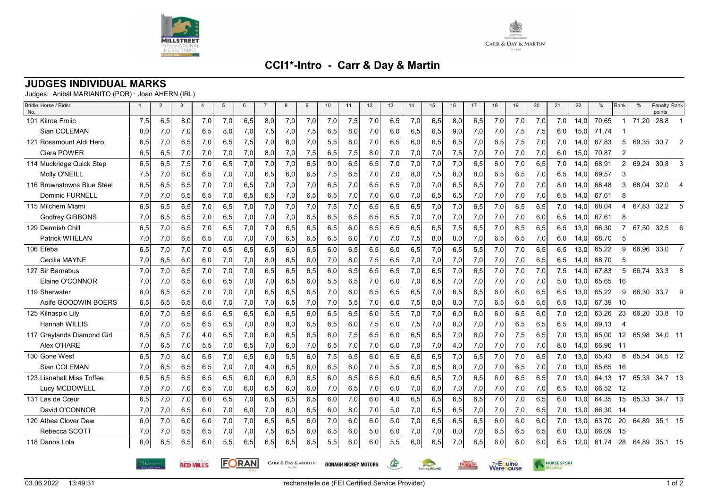



## **CCI1\*-Intro - Carr & Day & Martin**

## **JUDGES INDIVIDUAL MARKS**

Judges: Anibál MARIANITO (POR) · Joan AHERN (IRL)

| Bridle Horse / Rider<br>No. |     | $\overline{2}$                                                                 | 3   | $\overline{4}$ | 5   | 6   | $\overline{7}$ | 8   | 9                           | 10  | 11  | 12                      | 13  | 14            | 15                      | 16  | 17  | 18                 | 19  | 20  | 21  | 22   | %        | Rank           | $\frac{0}{0}$ | Penalty Rank<br>points |                |
|-----------------------------|-----|--------------------------------------------------------------------------------|-----|----------------|-----|-----|----------------|-----|-----------------------------|-----|-----|-------------------------|-----|---------------|-------------------------|-----|-----|--------------------|-----|-----|-----|------|----------|----------------|---------------|------------------------|----------------|
| 101 Kilroe Frolic           | 7,5 | 6,5                                                                            | 8,0 | 7,0            | 7,0 | 6,5 | 8,0            | 7,0 | 7,0                         | 7,0 | 7,5 | 7,0                     | 6,5 | 7,0           | 6,5                     | 8.0 | 6,5 | 7,0                | 7,0 | 7,0 | 7,0 | 14.0 | 70.65    | $\mathbf{1}$   | 71,20         | 28,8                   |                |
| Sian COLEMAN                | 8,0 | 7,0                                                                            | 7,0 | 6,5            | 8,0 | 7,0 | 7,5            | 7,0 | 7,5                         | 6,5 | 8,0 | 7,0                     | 6,0 | 6,5           | 6,5                     | 9,0 | 7,0 | 7,0                | 7,5 | 7,5 | 6,0 | 15,0 | 71,74    |                |               |                        |                |
| 121 Rossmount Aldi Hero     | 6,5 | 7.0                                                                            | 6,5 | 7,0            | 6,5 | 7,5 | 7,0            | 6,0 | 7,0                         | 5,5 | 8,0 | 7,0                     | 6,5 | 6,0           | 6,5                     | 6,5 | 7,0 | 6,5                | 7,5 | 7,0 | 7,0 | 14,0 | 67,83    | 5              |               | 69,35 30,7             | 2              |
| Ciara POWER                 | 6,5 | 6,5                                                                            | 7,0 | 7,0            | 7,0 | 7,0 | 8,0            | 7,0 | 7,5                         | 6,5 | 7,5 | 8,0                     | 7,0 | 7,0           | 7,0                     | 7,5 | 7,0 | 7,0                | 7,0 | 7,0 | 6,0 | 15.0 | 70,87    | 2              |               |                        |                |
| 114 Muckridge Quick Step    | 6,5 | 6,5                                                                            | 7,5 | 7,0            | 6,5 | 7,0 | 7,0            | 7,0 | 6,5                         | 9,0 | 6,5 | 6,5                     | 7,0 | 7,0           | 7,0                     | 7,0 | 6,5 | 6,0                | 7,0 | 6,5 | 7,0 | 14,0 | 68,91    | $\overline{2}$ | 69,24         | 30,8                   | 3              |
| Molly O'NEILL               | 7,5 | 7,0                                                                            | 6,0 | 6,5            | 7,0 | 7,0 | 6,5            | 6,0 | 6,5                         | 7,5 | 6,5 | 7,0                     | 7,0 | 8,0           | 7,5                     | 8,0 | 8,0 | 6,5                | 6,5 | 7,0 | 6,5 | 14,0 | 69,57    | 3              |               |                        |                |
| 116 Brownstowns Blue Steel  | 6,5 | 6,5                                                                            | 6,5 | 7,0            | 7,0 | 6,5 | 7,0            | 7,0 | 7,0                         | 6,5 | 7,0 | 6,5                     | 6,5 | 7,0           | 7,0                     | 6,5 | 6,5 | 7,0                | 7,0 | 7,0 | 8,0 | 14,0 | 68,48    | 3              | 68,04         | 32,0                   | $\overline{4}$ |
| <b>Dominic FURNELL</b>      | 7,0 | 7,0                                                                            | 6,5 | 6,5            | 7,0 | 6,5 | 6,5            | 7,0 | 6,5                         | 6,5 | 7,0 | 7,0                     | 6,0 | 7,0           | 6,5                     | 6,5 | 7,0 | 7,0                | 7,0 | 7,0 | 6,5 | 14,0 | 67,61    | 8              |               |                        |                |
| 115 Milchem Miami           | 6,5 | 6.5                                                                            | 6,5 | 7.0            | 6.5 | 7,0 | 7,0            | 7,0 | 7,0                         | 7,5 | 7,0 | 6,5                     | 6.5 | 6,5           | 7,0                     | 7.0 | 6,5 | 7,0                | 6,5 | 6.5 | 7,0 | 14.0 | 68,04    | 4              | 67.83         | 32,2                   | 5              |
| <b>Godfrey GIBBONS</b>      | 7,0 | 6,5                                                                            | 6,5 | 7,0            | 6,5 | 7,0 | 7,0            | 7,0 | 6,5                         | 6,5 | 6,5 | 6,5                     | 6,5 | 7,0           | 7,0                     | 7,0 | 7,0 | 7,0                | 7,0 | 6,0 | 6,5 | 14,0 | 67,61    | 8              |               |                        |                |
| 129 Dermish Chill           | 6,5 | 7,0                                                                            | 6,5 | 7,0            | 6.5 | 7,0 | 7,0            | 6.5 | 6,5                         | 6,5 | 6.0 | 6,5                     | 6.5 | 6,5           | 6.5                     | 7,5 | 6.5 | 7,0                | 6.5 | 6.5 | 6.5 | 13.0 | 66,30    | $\overline{7}$ | 67,50         | 32,5                   | 6              |
| Patrick WHELAN              | 7,0 | 7,0                                                                            | 6,5 | 6,5            | 7,0 | 7,0 | 7,0            | 6,5 | 6,5                         | 6,5 | 6,0 | 7,0                     | 7,0 | 7,5           | 8,0                     | 8,0 | 7,0 | 6,5                | 6,5 | 7,0 | 6,0 | 14,0 | 68,70    | 5              |               |                        |                |
| 106 Efeba                   | 6,5 | 7,0                                                                            | 7,0 | 7,0            | 6,5 | 6,5 | 6,5            | 6,0 | 6,5                         | 6,0 | 6,5 | 6,5                     | 6,0 | 6,5           | 7,0                     | 6,5 | 5,5 | 7,0                | 7,0 | 6,5 | 6,5 | 13,0 | 65,22    | 9              | 66,96         | 33,0                   | $\overline{7}$ |
| Cecilia MAYNE               | 7,0 | 6,5                                                                            | 6,0 | 6,0            | 7,0 | 7,0 | 8,0            | 6,5 | 6,0                         | 7,0 | 8,0 | 7,5                     | 6,5 | 7,0           | 7,0                     | 7,0 | 7,0 | 7,0                | 7,0 | 6,5 | 6,5 | 14.0 | 68,70    | 5              |               |                        |                |
| 127 Sir Barnabus            | 7,0 | 7,0                                                                            | 6,5 | 7,0            | 7,0 | 7,0 | 6,5            | 6,5 | 6,5                         | 6,0 | 6,5 | 6,5                     | 6,5 | 7,0           | 6,5                     | 7,0 | 6,5 | 7,0                | 7,0 | 7,0 | 7,5 | 14,0 | 67,83    | 5              | 66,74         | 33,3                   | 8              |
| Elaine O'CONNOR             | 7,0 | 7,0                                                                            | 6,5 | 6,0            | 6,5 | 7,0 | 7,0            | 6,5 | 6,0                         | 5,5 | 6,5 | 7,0                     | 6,0 | 7,0           | 6,5                     | 7,0 | 7,0 | 7,0                | 7,0 | 7,0 | 5,0 | 13.0 | 65,65    | 16             |               |                        |                |
| 119 Sherwater               | 6,0 | 6,5                                                                            | 6,5 | 7,0            | 7,0 | 7,0 | 6, 5           | 6,5 | 6,5                         | 7,0 | 6,0 | 6,5                     | 6,5 | 6,5           | 7,0                     | 6,5 | 6,5 | 6,0                | 6,0 | 6,5 | 6,5 | 13,0 | 65,22    | 9              | 66,30         | 33,7                   | 9              |
| Aoife GOODWIN BOERS         | 6,5 | 6,5                                                                            | 6,5 | 6,0            | 7,0 | 7,0 | 7,0            | 6,5 | 7,0                         | 7,0 | 5,5 | 7,0                     | 6,0 | 7,5           | 8,0                     | 8,0 | 7,0 | 6,5                | 6,5 | 6,5 | 6,5 | 13,0 | 67,39    | - 10           |               |                        |                |
| 125 Kilnaspic Lily          | 6,0 | 7.0                                                                            | 6,5 | 6,5            | 6.5 | 6,5 | 6,0            | 6,5 | 6,0                         | 6,5 | 6.5 | 6,0                     | 5,5 | 7.0           | 7,0                     | 6.0 | 6.0 | 6,0                | 6,5 | 6,0 | 7,0 | 12.0 | 63.26    | 23             | 66,20         | 33,8 10                |                |
| Hannah WILLIS               | 7,0 | 7,0                                                                            | 6,5 | 6,5            | 6,5 | 7,0 | 8,0            | 8,0 | 6,5                         | 6,5 | 6,0 | 7,5                     | 6,0 | 7,5           | 7,0                     | 8,0 | 7,0 | 7,0                | 6,5 | 6,5 | 6,5 | 14,0 | 69,13    | $\overline{4}$ |               |                        |                |
| 117 Greylands Diamond Girl  | 6,5 | 6.5                                                                            | 7,0 | 4,0            | 6,5 | 7,0 | 6,0            | 6,5 | 6,5                         | 6,0 | 7,5 | 6,5                     | 6.0 | 6,5           | 6.5                     | 7,0 | 6,0 | 7,0                | 7,5 | 6,5 | 7,0 | 13.0 | 65,00    | 12             | 65,98         | 34,0 11                |                |
| Alex O'HARE                 | 7,0 | 6,5                                                                            | 7,0 | 5,5            | 7,0 | 6,5 | 7,0            | 6,0 | 7,0                         | 6,5 | 7,0 | 7,0                     | 6,0 | 7,0           | 7,0                     | 4,0 | 7,0 | 7,0                | 7,0 | 7,0 | 8,0 | 14,0 | 66,96    | -11            |               |                        |                |
| 130 Gone West               | 6,5 | 7,0                                                                            | 6,0 | 6,5            | 7,0 | 6,5 | 6,0            | 5,5 | 6,0                         | 7,5 | 6,5 | 6,0                     | 6,5 | 6,5           | 6,5                     | 7,0 | 6,5 | 7,0                | 7,0 | 6,5 | 7,0 | 13,0 | 65,43    | 8              | 65,54         | 34,5 12                |                |
| Sian COLEMAN                | 7,0 | 6,5                                                                            | 6,5 | 6,5            | 7,0 | 7,0 | 4,0            | 6,5 | 6,0                         | 6,5 | 6,0 | 7,0                     | 5,5 | 7,0           | 6,5                     | 8,0 | 7,0 | 7,0                | 6,5 | 7,0 | 7,0 | 13,0 | 65,65    | 16             |               |                        |                |
| 123 Lisnahall Miss Toffee   | 6,5 | 6,5                                                                            | 6,5 | 6,5            | 6,5 | 6,0 | 6,0            | 6,0 | 6,5                         | 6,0 | 6,5 | 6,5                     | 6,0 | 6,5           | 6,5                     | 7,0 | 6,5 | 6,0                | 6,5 | 6,5 | 7,0 | 13,0 | 64,13    | 17             | 65,33         | 34,7 13                |                |
| Lucy MCDOWELL               | 7,0 | 7,0                                                                            | 7,0 | 6,5            | 7,0 | 6,0 | 6,5            | 6,0 | 6,0                         | 7,0 | 6,5 | 7,0                     | 6,0 | 7,0           | 6,0                     | 7,0 | 7,0 | 7,0                | 7,0 | 7,0 | 6,5 | 13,0 | 66,52 12 |                |               |                        |                |
| 131 Las de Cœur             | 6,5 | 7.0                                                                            | 7,0 | 6.0            | 6.5 | 7,0 | 6.5            | 6,5 | 6,5                         | 6,0 | 7,0 | 6,0                     | 4.0 | 6,5           | 6.5                     | 6.5 | 6,5 | 7,0                | 7,0 | 6.5 | 6,0 | 13.0 | 64,35    | 15             | 65,33         | 34,7 13                |                |
| David O'CONNOR              | 7,0 | 7,0                                                                            | 6,5 | 6,0            | 7,0 | 6,0 | 7,0            | 6,0 | 6,5                         | 6,0 | 8,0 | 7,0                     | 5,0 | 7,0           | 6,5                     | 6,5 | 7,0 | 7,0                | 7,0 | 6,5 | 7,0 | 13,0 | 66,30    | -14            |               |                        |                |
| 120 Athea Clover Dew        | 6,0 | 7,0                                                                            | 6,0 | 6.0            | 7,0 | 7,0 | 6,5            | 6.5 | 6,0                         | 7,0 | 6.0 | 6,0                     | 5.0 | 7,0           | 6.5                     | 6.5 | 6,5 | 6,0                | 6.0 | 6.0 | 7,0 | 13.0 | 63,70    | 20             | 64,89         | 35,1 15                |                |
| Rebecca SCOTT               | 7,0 | 7,0                                                                            | 6,5 | 6,5            | 7,0 | 7,0 | 7,5            | 6,5 | 6,0                         | 6,5 | 6,0 | 5,0                     | 6,0 | 7,0           | 7,0                     | 8,0 | 7,0 | 6,5                | 6,5 | 6,5 | 6,0 | 13,0 | 66,09    | 15             |               |                        |                |
| 118 Danos Lola              | 6,0 | 6,5                                                                            | 6,5 | 6.0            | 5,5 | 6,5 | 6,5            | 6,5 | 6.5                         | 5.5 | 6,0 | 6,0                     | 5,5 | 6,0           | 6.5                     | 7.0 | 6,5 | 6,0                | 6.0 | 6,0 | 6,5 | 12.0 | 61.74    | 28             | 64,89         | 35,1 15                |                |
|                             |     | FORAN<br><b>CARR &amp; DAY &amp; MARTIN'</b><br>Milløtreet<br><b>RED MILLS</b> |     |                |     |     |                |     | <b>DONAGH HICKEY MOTORS</b> | Œ   |     | <b>Eventing IRELAND</b> |     | <b>Duggan</b> | The Equine<br>Warehouse |     |     | <b>HORSE SPORT</b> |     |     |     |      |          |                |               |                        |                |